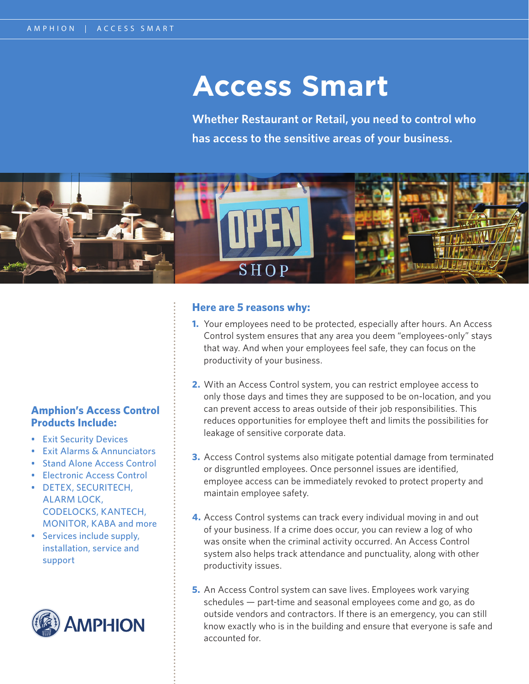## **Access Smart**

**Whether Restaurant or Retail, you need to control who has access to the sensitive areas of your business.**



#### **Here are 5 reasons why:**

- **1.** Your employees need to be protected, especially after hours. An Access Control system ensures that any area you deem "employees-only" stays that way. And when your employees feel safe, they can focus on the productivity of your business.
- **2.** With an Access Control system, you can restrict employee access to only those days and times they are supposed to be on-location, and you can prevent access to areas outside of their job responsibilities. This reduces opportunities for employee theft and limits the possibilities for leakage of sensitive corporate data.
- **3.** Access Control systems also mitigate potential damage from terminated or disgruntled employees. Once personnel issues are identified, employee access can be immediately revoked to protect property and maintain employee safety.
- **4.** Access Control systems can track every individual moving in and out of your business. If a crime does occur, you can review a log of who was onsite when the criminal activity occurred. An Access Control system also helps track attendance and punctuality, along with other productivity issues.
- **5.** An Access Control system can save lives. Employees work varying schedules — part-time and seasonal employees come and go, as do outside vendors and contractors. If there is an emergency, you can still know exactly who is in the building and ensure that everyone is safe and accounted for.

#### **Amphion's Access Control Products Include:**

- Exit Security Devices
- Exit Alarms & Annunciators
- Stand Alone Access Control
- Electronic Access Control
- DETEX, SECURITECH, ALARM LOCK, CODELOCKS, KANTECH, MONITOR, KABA and more
- Services include supply, installation, service and support